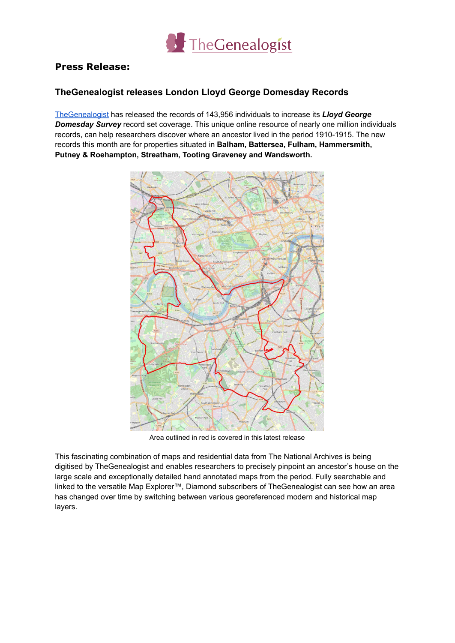

## **Press Release:**

## **TheGenealogist releases London Lloyd George Domesday Records**

[TheGenealogist](https://www.thegenealogist.co.uk) has released the records of 143,956 individuals to increase its *Lloyd George Domesday Survey* record set coverage. This unique online resource of nearly one million individuals records, can help researchers discover where an ancestor lived in the period 1910-1915. The new records this month are for properties situated in **Balham, Battersea, Fulham, Hammersmith, Putney & Roehampton, Streatham, Tooting Graveney and Wandsworth.**



Area outlined in red is covered in this latest release

This fascinating combination of maps and residential data from The National Archives is being digitised by TheGenealogist and enables researchers to precisely pinpoint an ancestor's house on the large scale and exceptionally detailed hand annotated maps from the period. Fully searchable and linked to the versatile Map Explorer™, Diamond subscribers of TheGenealogist can see how an area has changed over time by switching between various georeferenced modern and historical map layers.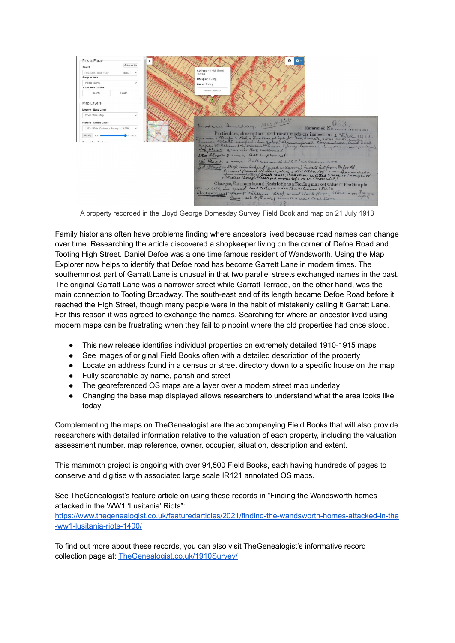

A property recorded in the Lloyd George Domesday Survey Field Book and map on 21 July 1913

Family historians often have problems finding where ancestors lived because road names can change over time. Researching the article discovered a shopkeeper living on the corner of Defoe Road and Tooting High Street. Daniel Defoe was a one time famous resident of Wandsworth. Using the Map Explorer now helps to identify that Defoe road has become Garrett Lane in modern times. The southernmost part of Garratt Lane is unusual in that two parallel streets exchanged names in the past. The original Garratt Lane was a narrower street while Garratt Terrace, on the other hand, was the main connection to Tooting Broadway. The south-east end of its length became Defoe Road before it reached the High Street, though many people were in the habit of mistakenly calling it Garratt Lane. For this reason it was agreed to exchange the names. Searching for where an ancestor lived using modern maps can be frustrating when they fail to pinpoint where the old properties had once stood.

- This new release identifies individual properties on extremely detailed 1910-1915 maps
- See images of original Field Books often with a detailed description of the property
- Locate an address found in a census or street directory down to a specific house on the map
- Fully searchable by name, parish and street
- The georeferenced OS maps are a layer over a modern street map underlay
- Changing the base map displayed allows researchers to understand what the area looks like today

Complementing the maps on TheGenealogist are the accompanying Field Books that will also provide researchers with detailed information relative to the valuation of each property, including the valuation assessment number, map reference, owner, occupier, situation, description and extent.

This mammoth project is ongoing with over 94,500 Field Books, each having hundreds of pages to conserve and digitise with associated large scale IR121 annotated OS maps.

See TheGenealogist's feature article on using these records in "Finding the Wandsworth homes attacked in the WW1 'Lusitania' Riots":

[https://www.thegenealogist.co.uk/featuredarticles/2021/finding-the-wandsworth-homes-attacked-in-the](https://www.thegenealogist.co.uk/featuredarticles/2021/finding-the-wandsworth-homes-attacked-in-the-ww1-lusitania-riots-1400/) [-ww1-lusitania-riots-1400/](https://www.thegenealogist.co.uk/featuredarticles/2021/finding-the-wandsworth-homes-attacked-in-the-ww1-lusitania-riots-1400/)

To find out more about these records, you can also visit TheGenealogist's informative record collection page at: [TheGenealogist.co.uk/1910Survey/](http://www.thegenealogist.co.uk/1910Survey/)